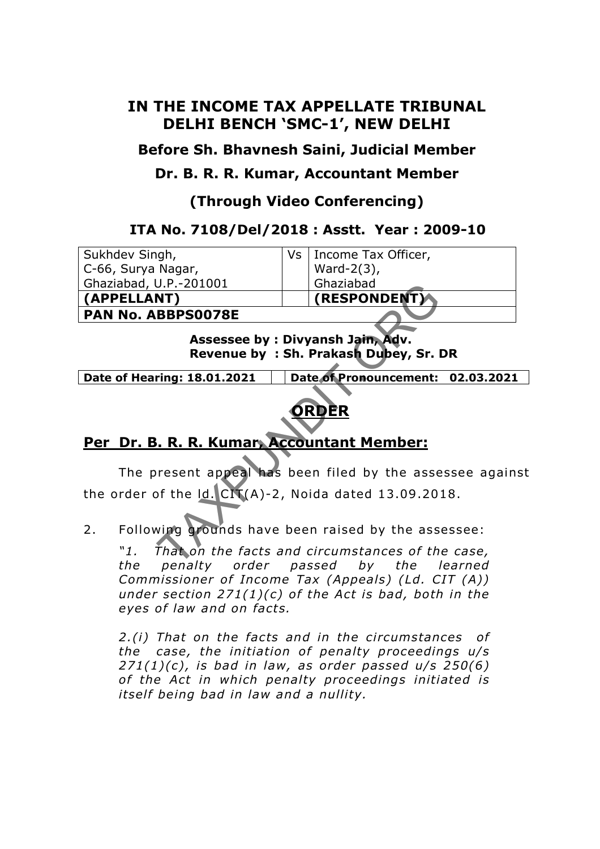# **IN THE INCOME TAX APPELLATE TRIBUNAL DELHI BENCH 'SMC-1', NEW DELHI**

**Before Sh. Bhavnesh Saini, Judicial Member** 

# **Dr. B. R. R. Kumar, Accountant Member**

# **(Through Video Conferencing)**

## **ITA No. 7108/Del/2018 : Asstt. Year : 2009-10**

| Sukhdev Singh,                                                            | Vs | Income Tax Officer,                                                                     |
|---------------------------------------------------------------------------|----|-----------------------------------------------------------------------------------------|
| C-66, Surya Nagar,                                                        |    | Ward- $2(3)$ ,                                                                          |
| Ghaziabad, U.P.-201001                                                    |    | Ghaziabad                                                                               |
| (APPELLANT)                                                               |    | (RESPONDENT)                                                                            |
| <b>PAN No. ABBPS0078E</b>                                                 |    |                                                                                         |
| Assessee by: Divyansh Jain, Adv.<br>Revenue by: Sh. Prakash Dubey, Sr. DR |    |                                                                                         |
| Date of Pronouncement: 02.03.2021<br>Date of Hearing: 18.01.2021          |    |                                                                                         |
| <b>DRDER</b>                                                              |    |                                                                                         |
| Per Dr. B. R. R. Kumar, Accountant Member:                                |    |                                                                                         |
|                                                                           |    | The present appeal has been filed by the assessee agains                                |
| the order of the $Id.$ $CIV(A)-2$ , Noida dated 13.09.2018.               |    |                                                                                         |
| 2.                                                                        |    | Following grounds have been raised by the assessee:                                     |
| "1.<br>−h⊿                                                                |    | That on the facts and circumstances of the case,<br>penalty order nassed by the learned |



# **Per Dr. B. R. R. Kumar, Accountant Member:**

"1. That on the facts and circumstances of the case, *the penalty order passed by the learned Commissioner of Income Tax (Appeals) (Ld. CIT (A)) under section 271(1)(c) of the Act is bad, both in the* eyes of law and on facts.

*2.(i) That on the facts and in the circumstances of*  the case, the initiation of penalty proceedings u/s *271(1)(c), is bad in law, as order passed u/s 250(6) of the Act in which penalty proceedings initiated is itself being bad in law and a nullity.*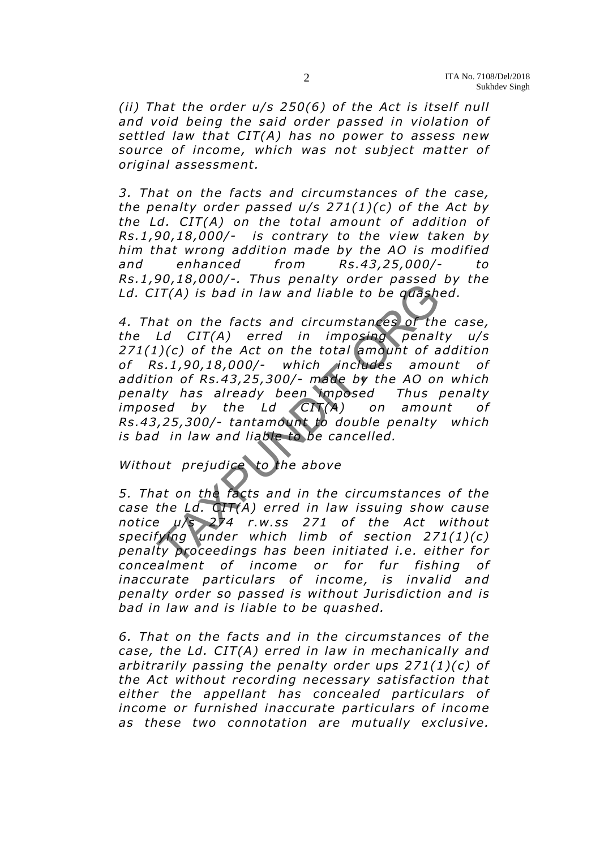*(ii) That the order u/s 250(6) of the Act is itself null and void being the said order passed in violation of settled law that CIT(A) has no power to assess new source of income, which was not sub ject matter of original assessment.* 

*3. That on the facts and circumstances of the case, the penalty order passed u/s 271(1)(c) of the Act by the Ld. CIT(A) on the total amount of addition of Rs.1 ,90,18 ,000/- is contrary to the view taken by him that wrong addition made by the AO is modified and enhanced from Rs.43 ,25,000/- to Rs.1 ,90,18 ,000/-. Thus penalty order passed by the Ld. CIT(A) is bad in law and liable to be quashed.* 

*4. That on the facts and circumstances of the case, the Ld CIT(A) erred in imposing penalty u/s 271(1)(c) of the Act on the to tal amount of addition of Rs .1 ,90,18 ,000/- which includes amount of addition of Rs.43 ,25,300/- made by the AO on which penalty has already been imposed Thus penalty imposed by the Ld CIT(A) on amount of Rs.43 ,25,300/- tantamount to double penalty which is bad in law and liable to be cancelled.*   $\text{LT}(A)$  is bad in law and liable to be quashed<br>at on the facts and circumstances of the<br>Ld CIT(A) erred in imposing penalis<br> $\text{TC}(A)$  (c) of the Act on the total amount of a<br>s.1,90,18,000/- which includes amound of a<br>s.

*Without prejudice to the above* 

*5. That on the facts and in the circumstances of the case the Ld. CIT(A) erred in law issuing show cause notice u/s 274 r.w.ss 271 of the Act without speci fying under which limb of section 271(1)(c) penalty proceedings has been initiated i.e . either for concealment of income or for fur fishing of inaccurate particulars of income , is invalid and penalty order so passed is without Jurisdiction and is bad in law and is liable to be quashed.* 

*6. That on the facts and in the circumstances of the case , the Ld. CIT(A) erred in law in mechanically and arbitrarily passing the penalty order ups 271(1)(c) of the Act without recording necessary satisfaction that either the appellant has concealed particulars of*  income or furnished inaccurate particulars of income *as these two connotation are mutually exclusive.*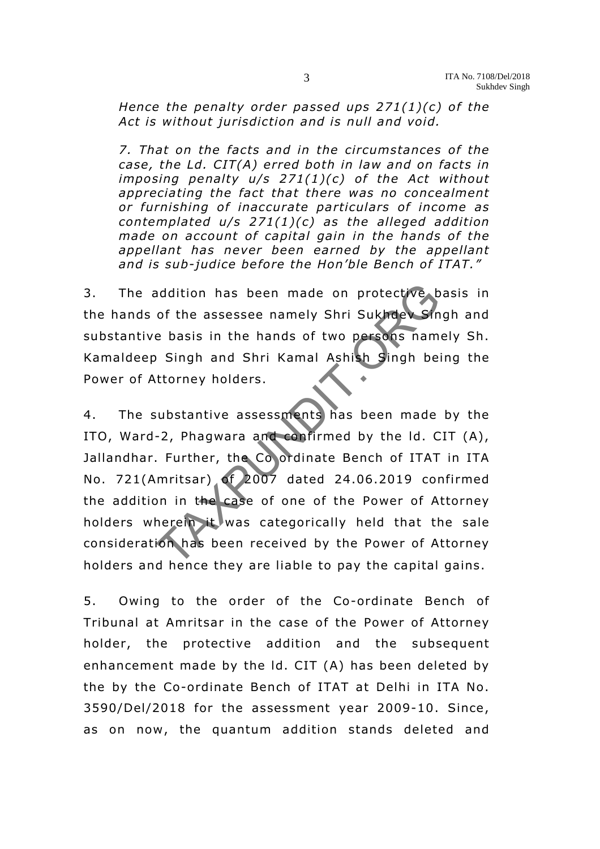*Hence the penalty order passed ups 271(1)(c) of the Act is without jurisdiction and is null and void.* 

*7. That on the facts and in the circumstances of the case, the Ld. CIT(A) erred both in law and on facts in imposing penalty u/s 271(1)(c) of the Act without appreciating the fact that there was no concealment*  or furnishing of inaccurate particulars of income as *contemplated u/s 271(1)(c) as the alleged addition made on account of capital gain in the hands of the appellant has never been earned by the appellant*  and is sub-judice before the Hon'ble Bench of ITAT."

3. The addition has been made on protective basis in the hands of the assessee namely Shri Sukhdey Singh and substantive basis in the hands of two persons namely Sh. Kamaldeep Singh and Shri Kamal Ashish Singh being the Power of Attorney holders.

4. The substantive assessments has been made by the ITO, Ward-2, Phagwara and confirmed by the ld. CIT (A), Jallandhar. Further, the Co ordinate Bench of ITAT in ITA No. 721(Amritsar) of 2007 dated 24.06 .2019 confirmed the addition in the case of one of the Power of Attorney holders wherein it was categorically held that the sale consideration has been received by the Power of Attorney holders and hence they are liable to pay the capital gains. nddition has been made on protective b<br>of the assessee namely Shri Sukhder Sin<br>e basis in the hands of two persons nam<br>Singh and Shri Kamal Ashish Singh bei<br>ttorney holders.<br>ubstantive assessments has been made<br>-2, Phagwar

5. Owing to the order of the Co-ordinate Bench of Tribunal at Amritsar in the case of the Power of Attorney holder, the protective addition and the subsequent enhancement made by the ld. CIT (A) has been deleted by the by the Co-ordinate Bench of ITAT at Delhi in ITA No. 3590/Del/2018 for the assessment year 2009-10. Since, as on now, the quantum addition stands deleted and